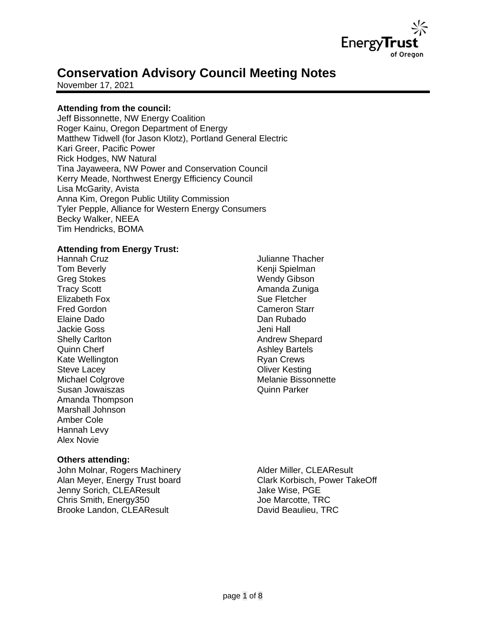

# **Conservation Advisory Council Meeting Notes**

November 17, 2021

## **Attending from the council:**

Jeff Bissonnette, NW Energy Coalition Roger Kainu, Oregon Department of Energy Matthew Tidwell (for Jason Klotz), Portland General Electric Kari Greer, Pacific Power Rick Hodges, NW Natural Tina Jayaweera, NW Power and Conservation Council Kerry Meade, Northwest Energy Efficiency Council Lisa McGarity, Avista Anna Kim, Oregon Public Utility Commission Tyler Pepple, Alliance for Western Energy Consumers Becky Walker, NEEA Tim Hendricks, BOMA

## **Attending from Energy Trust:**

Hannah Cruz Tom Beverly Greg Stokes Tracy Scott Elizabeth Fox Fred Gordon Elaine Dado Jackie Goss Shelly Carlton Quinn Cherf Kate Wellington Steve Lacey Michael Colgrove Susan Jowaiszas Amanda Thompson Marshall Johnson Amber Cole Hannah Levy Alex Novie

#### **Others attending:**

John Molnar, Rogers Machinery Alan Meyer, Energy Trust board Jenny Sorich, CLEAResult Chris Smith, Energy350 Brooke Landon, CLEAResult

Julianne Thacher Kenji Spielman Wendy Gibson Amanda Zuniga Sue Fletcher Cameron Starr Dan Rubado Jeni Hall Andrew Shepard Ashley Bartels Ryan Crews Oliver Kesting Melanie Bissonnette Quinn Parker

Alder Miller, CLEAResult Clark Korbisch, Power TakeOff Jake Wise, PGE Joe Marcotte, TRC David Beaulieu, TRC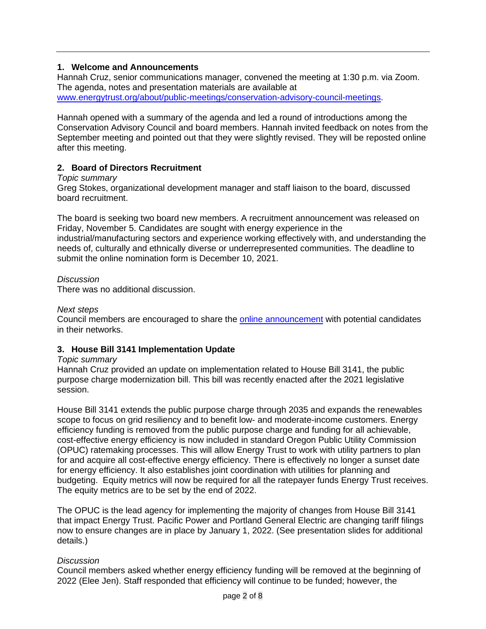## **1. Welcome and Announcements**

Hannah Cruz, senior communications manager, convened the meeting at 1:30 p.m. via Zoom. The agenda, notes and presentation materials are available at [www.energytrust.org/about/public-meetings/conservation-advisory-council-meetings.](http://www.energytrust.org/about/public-meetings/conservation-advisory-council-meetings)

Hannah opened with a summary of the agenda and led a round of introductions among the Conservation Advisory Council and board members. Hannah invited feedback on notes from the September meeting and pointed out that they were slightly revised. They will be reposted online after this meeting.

## **2. Board of Directors Recruitment**

## *Topic summary*

Greg Stokes, organizational development manager and staff liaison to the board, discussed board recruitment.

The board is seeking two board new members. A recruitment announcement was released on Friday, November 5. Candidates are sought with energy experience in the industrial/manufacturing sectors and experience working effectively with, and understanding the needs of, culturally and ethnically diverse or underrepresented communities. The deadline to submit the online nomination form is December 10, 2021.

## *Discussion*

There was no additional discussion.

#### *Next steps*

Council members are encouraged to share the [online announcement](https://energytrust.org/wp-content/uploads/2021/11/Announcement_open-board-positions_11.05.2021.pdf) with potential candidates in their networks.

## **3. House Bill 3141 Implementation Update**

#### *Topic summary*

Hannah Cruz provided an update on implementation related to House Bill 3141, the public purpose charge modernization bill. This bill was recently enacted after the 2021 legislative session.

House Bill 3141 extends the public purpose charge through 2035 and expands the renewables scope to focus on grid resiliency and to benefit low- and moderate-income customers. Energy efficiency funding is removed from the public purpose charge and funding for all achievable, cost-effective energy efficiency is now included in standard Oregon Public Utility Commission (OPUC) ratemaking processes. This will allow Energy Trust to work with utility partners to plan for and acquire all cost-effective energy efficiency. There is effectively no longer a sunset date for energy efficiency. It also establishes joint coordination with utilities for planning and budgeting. Equity metrics will now be required for all the ratepayer funds Energy Trust receives. The equity metrics are to be set by the end of 2022.

The OPUC is the lead agency for implementing the majority of changes from House Bill 3141 that impact Energy Trust. Pacific Power and Portland General Electric are changing tariff filings now to ensure changes are in place by January 1, 2022. (See presentation slides for additional details.)

## *Discussion*

Council members asked whether energy efficiency funding will be removed at the beginning of 2022 (Elee Jen). Staff responded that efficiency will continue to be funded; however, the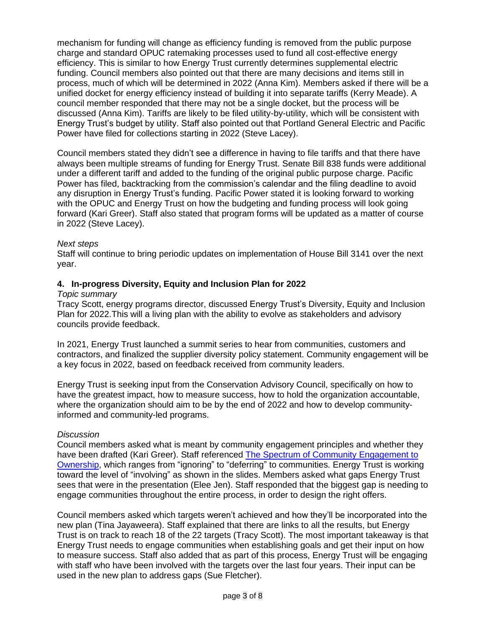mechanism for funding will change as efficiency funding is removed from the public purpose charge and standard OPUC ratemaking processes used to fund all cost-effective energy efficiency. This is similar to how Energy Trust currently determines supplemental electric funding. Council members also pointed out that there are many decisions and items still in process, much of which will be determined in 2022 (Anna Kim). Members asked if there will be a unified docket for energy efficiency instead of building it into separate tariffs (Kerry Meade). A council member responded that there may not be a single docket, but the process will be discussed (Anna Kim). Tariffs are likely to be filed utility-by-utility, which will be consistent with Energy Trust's budget by utility. Staff also pointed out that Portland General Electric and Pacific Power have filed for collections starting in 2022 (Steve Lacey).

Council members stated they didn't see a difference in having to file tariffs and that there have always been multiple streams of funding for Energy Trust. Senate Bill 838 funds were additional under a different tariff and added to the funding of the original public purpose charge. Pacific Power has filed, backtracking from the commission's calendar and the filing deadline to avoid any disruption in Energy Trust's funding. Pacific Power stated it is looking forward to working with the OPUC and Energy Trust on how the budgeting and funding process will look going forward (Kari Greer). Staff also stated that program forms will be updated as a matter of course in 2022 (Steve Lacey).

#### *Next steps*

Staff will continue to bring periodic updates on implementation of House Bill 3141 over the next year.

#### **4. In-progress Diversity, Equity and Inclusion Plan for 2022**

#### *Topic summary*

Tracy Scott, energy programs director, discussed Energy Trust's Diversity, Equity and Inclusion Plan for 2022.This will a living plan with the ability to evolve as stakeholders and advisory councils provide feedback.

In 2021, Energy Trust launched a summit series to hear from communities, customers and contractors, and finalized the supplier diversity policy statement. Community engagement will be a key focus in 2022, based on feedback received from community leaders.

Energy Trust is seeking input from the Conservation Advisory Council, specifically on how to have the greatest impact, how to measure success, how to hold the organization accountable, where the organization should aim to be by the end of 2022 and how to develop communityinformed and community-led programs.

#### *Discussion*

Council members asked what is meant by community engagement principles and whether they have been drafted (Kari Greer). Staff referenced [The Spectrum of Community Engagement to](https://d3n8a8pro7vhmx.cloudfront.net/facilitatingpower/pages/53/attachments/original/1596746165/CE2O_SPECTRUM_2020.pdf?159674616)  [Ownership,](https://d3n8a8pro7vhmx.cloudfront.net/facilitatingpower/pages/53/attachments/original/1596746165/CE2O_SPECTRUM_2020.pdf?159674616) which ranges from "ignoring" to "deferring" to communities. Energy Trust is working toward the level of "involving" as shown in the slides. Members asked what gaps Energy Trust sees that were in the presentation (Elee Jen). Staff responded that the biggest gap is needing to engage communities throughout the entire process, in order to design the right offers.

Council members asked which targets weren't achieved and how they'll be incorporated into the new plan (Tina Jayaweera). Staff explained that there are links to all the results, but Energy Trust is on track to reach 18 of the 22 targets (Tracy Scott). The most important takeaway is that Energy Trust needs to engage communities when establishing goals and get their input on how to measure success. Staff also added that as part of this process, Energy Trust will be engaging with staff who have been involved with the targets over the last four years. Their input can be used in the new plan to address gaps (Sue Fletcher).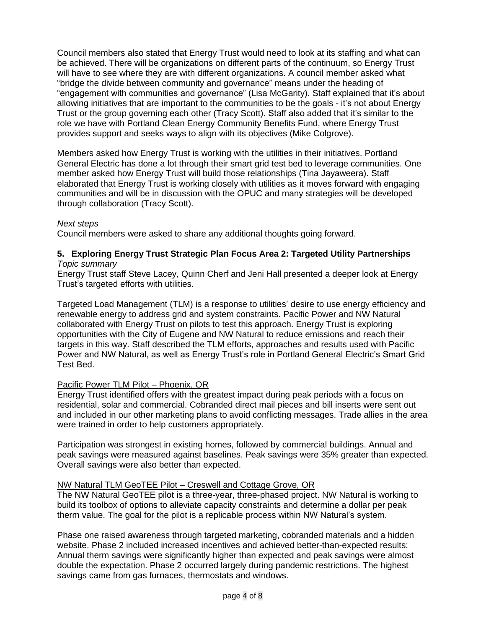Council members also stated that Energy Trust would need to look at its staffing and what can be achieved. There will be organizations on different parts of the continuum, so Energy Trust will have to see where they are with different organizations. A council member asked what "bridge the divide between community and governance" means under the heading of "engagement with communities and governance" (Lisa McGarity). Staff explained that it's about allowing initiatives that are important to the communities to be the goals - it's not about Energy Trust or the group governing each other (Tracy Scott). Staff also added that it's similar to the role we have with Portland Clean Energy Community Benefits Fund, where Energy Trust provides support and seeks ways to align with its objectives (Mike Colgrove).

Members asked how Energy Trust is working with the utilities in their initiatives. Portland General Electric has done a lot through their smart grid test bed to leverage communities. One member asked how Energy Trust will build those relationships (Tina Jayaweera). Staff elaborated that Energy Trust is working closely with utilities as it moves forward with engaging communities and will be in discussion with the OPUC and many strategies will be developed through collaboration (Tracy Scott).

#### *Next steps*

Council members were asked to share any additional thoughts going forward.

#### **5. Exploring Energy Trust Strategic Plan Focus Area 2: Targeted Utility Partnerships** *Topic summary*

Energy Trust staff Steve Lacey, Quinn Cherf and Jeni Hall presented a deeper look at Energy Trust's targeted efforts with utilities.

Targeted Load Management (TLM) is a response to utilities' desire to use energy efficiency and renewable energy to address grid and system constraints. Pacific Power and NW Natural collaborated with Energy Trust on pilots to test this approach. Energy Trust is exploring opportunities with the City of Eugene and NW Natural to reduce emissions and reach their targets in this way. Staff described the TLM efforts, approaches and results used with Pacific Power and NW Natural, as well as Energy Trust's role in Portland General Electric's Smart Grid Test Bed.

#### Pacific Power TLM Pilot – Phoenix, OR

Energy Trust identified offers with the greatest impact during peak periods with a focus on residential, solar and commercial. Cobranded direct mail pieces and bill inserts were sent out and included in our other marketing plans to avoid conflicting messages. Trade allies in the area were trained in order to help customers appropriately.

Participation was strongest in existing homes, followed by commercial buildings. Annual and peak savings were measured against baselines. Peak savings were 35% greater than expected. Overall savings were also better than expected.

#### NW Natural TLM GeoTEE Pilot – Creswell and Cottage Grove, OR

The NW Natural GeoTEE pilot is a three-year, three-phased project. NW Natural is working to build its toolbox of options to alleviate capacity constraints and determine a dollar per peak therm value. The goal for the pilot is a replicable process within NW Natural's system.

Phase one raised awareness through targeted marketing, cobranded materials and a hidden website. Phase 2 included increased incentives and achieved better-than-expected results: Annual therm savings were significantly higher than expected and peak savings were almost double the expectation. Phase 2 occurred largely during pandemic restrictions. The highest savings came from gas furnaces, thermostats and windows.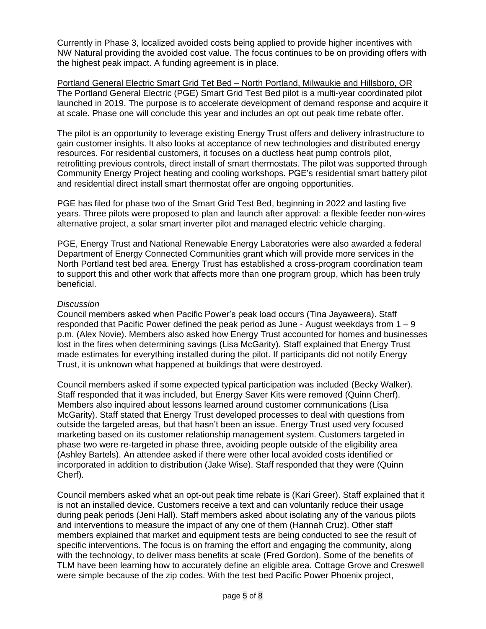Currently in Phase 3, localized avoided costs being applied to provide higher incentives with NW Natural providing the avoided cost value. The focus continues to be on providing offers with the highest peak impact. A funding agreement is in place.

Portland General Electric Smart Grid Tet Bed – North Portland, Milwaukie and Hillsboro, OR The Portland General Electric (PGE) Smart Grid Test Bed pilot is a multi-year coordinated pilot launched in 2019. The purpose is to accelerate development of demand response and acquire it at scale. Phase one will conclude this year and includes an opt out peak time rebate offer.

The pilot is an opportunity to leverage existing Energy Trust offers and delivery infrastructure to gain customer insights. It also looks at acceptance of new technologies and distributed energy resources. For residential customers, it focuses on a ductless heat pump controls pilot, retrofitting previous controls, direct install of smart thermostats. The pilot was supported through Community Energy Project heating and cooling workshops. PGE's residential smart battery pilot and residential direct install smart thermostat offer are ongoing opportunities.

PGE has filed for phase two of the Smart Grid Test Bed, beginning in 2022 and lasting five years. Three pilots were proposed to plan and launch after approval: a flexible feeder non-wires alternative project, a solar smart inverter pilot and managed electric vehicle charging.

PGE, Energy Trust and National Renewable Energy Laboratories were also awarded a federal Department of Energy Connected Communities grant which will provide more services in the North Portland test bed area. Energy Trust has established a cross-program coordination team to support this and other work that affects more than one program group, which has been truly beneficial.

#### *Discussion*

Council members asked when Pacific Power's peak load occurs (Tina Jayaweera). Staff responded that Pacific Power defined the peak period as June - August weekdays from  $1 - 9$ p.m. (Alex Novie). Members also asked how Energy Trust accounted for homes and businesses lost in the fires when determining savings (Lisa McGarity). Staff explained that Energy Trust made estimates for everything installed during the pilot. If participants did not notify Energy Trust, it is unknown what happened at buildings that were destroyed.

Council members asked if some expected typical participation was included (Becky Walker). Staff responded that it was included, but Energy Saver Kits were removed (Quinn Cherf). Members also inquired about lessons learned around customer communications (Lisa McGarity). Staff stated that Energy Trust developed processes to deal with questions from outside the targeted areas, but that hasn't been an issue. Energy Trust used very focused marketing based on its customer relationship management system. Customers targeted in phase two were re-targeted in phase three, avoiding people outside of the eligibility area (Ashley Bartels). An attendee asked if there were other local avoided costs identified or incorporated in addition to distribution (Jake Wise). Staff responded that they were (Quinn Cherf).

Council members asked what an opt-out peak time rebate is (Kari Greer). Staff explained that it is not an installed device. Customers receive a text and can voluntarily reduce their usage during peak periods (Jeni Hall). Staff members asked about isolating any of the various pilots and interventions to measure the impact of any one of them (Hannah Cruz). Other staff members explained that market and equipment tests are being conducted to see the result of specific interventions. The focus is on framing the effort and engaging the community, along with the technology, to deliver mass benefits at scale (Fred Gordon). Some of the benefits of TLM have been learning how to accurately define an eligible area. Cottage Grove and Creswell were simple because of the zip codes. With the test bed Pacific Power Phoenix project,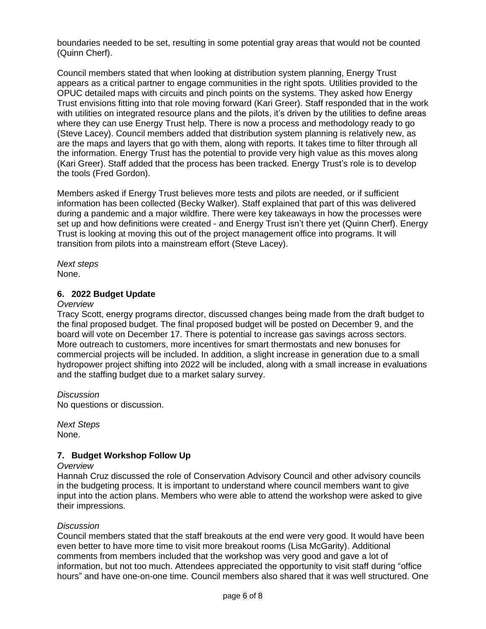boundaries needed to be set, resulting in some potential gray areas that would not be counted (Quinn Cherf).

Council members stated that when looking at distribution system planning, Energy Trust appears as a critical partner to engage communities in the right spots. Utilities provided to the OPUC detailed maps with circuits and pinch points on the systems. They asked how Energy Trust envisions fitting into that role moving forward (Kari Greer). Staff responded that in the work with utilities on integrated resource plans and the pilots, it's driven by the utilities to define areas where they can use Energy Trust help. There is now a process and methodology ready to go (Steve Lacey). Council members added that distribution system planning is relatively new, as are the maps and layers that go with them, along with reports. It takes time to filter through all the information. Energy Trust has the potential to provide very high value as this moves along (Kari Greer). Staff added that the process has been tracked. Energy Trust's role is to develop the tools (Fred Gordon).

Members asked if Energy Trust believes more tests and pilots are needed, or if sufficient information has been collected (Becky Walker). Staff explained that part of this was delivered during a pandemic and a major wildfire. There were key takeaways in how the processes were set up and how definitions were created - and Energy Trust isn't there yet (Quinn Cherf). Energy Trust is looking at moving this out of the project management office into programs. It will transition from pilots into a mainstream effort (Steve Lacey).

*Next steps* None.

#### **6. 2022 Budget Update**

#### *Overview*

Tracy Scott, energy programs director, discussed changes being made from the draft budget to the final proposed budget. The final proposed budget will be posted on December 9, and the board will vote on December 17. There is potential to increase gas savings across sectors. More outreach to customers, more incentives for smart thermostats and new bonuses for commercial projects will be included. In addition, a slight increase in generation due to a small hydropower project shifting into 2022 will be included, along with a small increase in evaluations and the staffing budget due to a market salary survey.

*Discussion* No questions or discussion.

*Next Steps* None.

## **7. Budget Workshop Follow Up**

#### *Overview*

Hannah Cruz discussed the role of Conservation Advisory Council and other advisory councils in the budgeting process. It is important to understand where council members want to give input into the action plans. Members who were able to attend the workshop were asked to give their impressions.

#### *Discussion*

Council members stated that the staff breakouts at the end were very good. It would have been even better to have more time to visit more breakout rooms (Lisa McGarity). Additional comments from members included that the workshop was very good and gave a lot of information, but not too much. Attendees appreciated the opportunity to visit staff during "office hours" and have one-on-one time. Council members also shared that it was well structured. One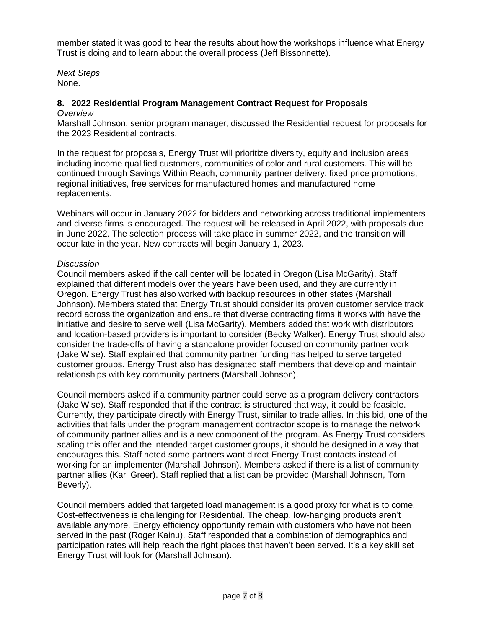member stated it was good to hear the results about how the workshops influence what Energy Trust is doing and to learn about the overall process (Jeff Bissonnette).

*Next Steps* None.

## **8. 2022 Residential Program Management Contract Request for Proposals**

#### *Overview*

Marshall Johnson, senior program manager, discussed the Residential request for proposals for the 2023 Residential contracts.

In the request for proposals, Energy Trust will prioritize diversity, equity and inclusion areas including income qualified customers, communities of color and rural customers. This will be continued through Savings Within Reach, community partner delivery, fixed price promotions, regional initiatives, free services for manufactured homes and manufactured home replacements.

Webinars will occur in January 2022 for bidders and networking across traditional implementers and diverse firms is encouraged. The request will be released in April 2022, with proposals due in June 2022. The selection process will take place in summer 2022, and the transition will occur late in the year. New contracts will begin January 1, 2023.

## *Discussion*

Council members asked if the call center will be located in Oregon (Lisa McGarity). Staff explained that different models over the years have been used, and they are currently in Oregon. Energy Trust has also worked with backup resources in other states (Marshall Johnson). Members stated that Energy Trust should consider its proven customer service track record across the organization and ensure that diverse contracting firms it works with have the initiative and desire to serve well (Lisa McGarity). Members added that work with distributors and location-based providers is important to consider (Becky Walker). Energy Trust should also consider the trade-offs of having a standalone provider focused on community partner work (Jake Wise). Staff explained that community partner funding has helped to serve targeted customer groups. Energy Trust also has designated staff members that develop and maintain relationships with key community partners (Marshall Johnson).

Council members asked if a community partner could serve as a program delivery contractors (Jake Wise). Staff responded that if the contract is structured that way, it could be feasible. Currently, they participate directly with Energy Trust, similar to trade allies. In this bid, one of the activities that falls under the program management contractor scope is to manage the network of community partner allies and is a new component of the program. As Energy Trust considers scaling this offer and the intended target customer groups, it should be designed in a way that encourages this. Staff noted some partners want direct Energy Trust contacts instead of working for an implementer (Marshall Johnson). Members asked if there is a list of community partner allies (Kari Greer). Staff replied that a list can be provided (Marshall Johnson, Tom Beverly).

Council members added that targeted load management is a good proxy for what is to come. Cost-effectiveness is challenging for Residential. The cheap, low-hanging products aren't available anymore. Energy efficiency opportunity remain with customers who have not been served in the past (Roger Kainu). Staff responded that a combination of demographics and participation rates will help reach the right places that haven't been served. It's a key skill set Energy Trust will look for (Marshall Johnson).